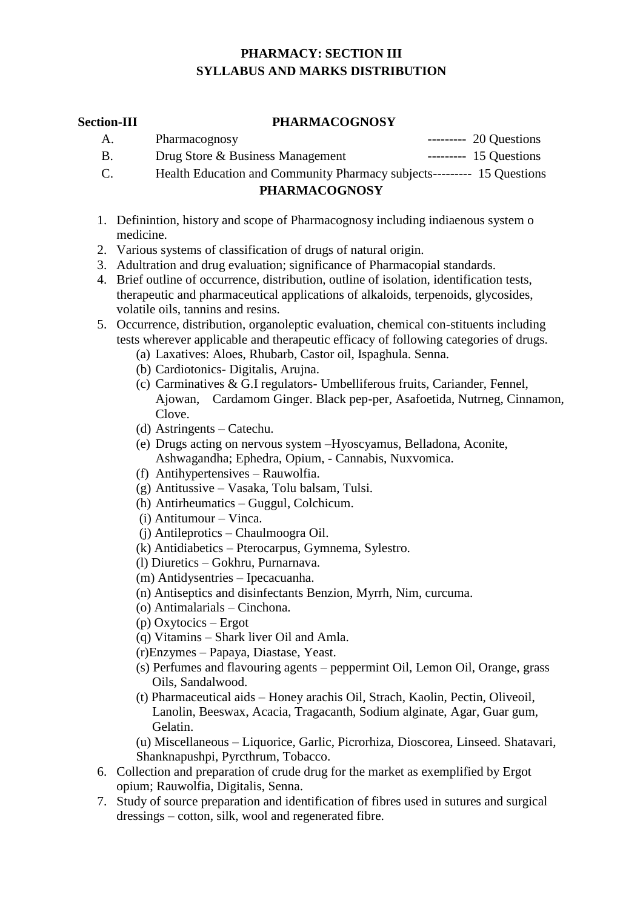# **PHARMACY: SECTION III SYLLABUS AND MARKS DISTRIBUTION**

#### **Section-III PHARMACOGNOSY**

| A. | Pharmacognosy                                                          | $--- 20$ Questions   |
|----|------------------------------------------------------------------------|----------------------|
| В. | Drug Store & Business Management                                       | $----- 15 Questions$ |
| C. | Health Education and Community Pharmacy subjects--------- 15 Questions |                      |

### **PHARMACOGNOSY**

- 1. Definintion, history and scope of Pharmacognosy including indiaenous system o medicine.
- 2. Various systems of classification of drugs of natural origin.
- 3. Adultration and drug evaluation; significance of Pharmacopial standards.
- 4. Brief outline of occurrence, distribution, outline of isolation, identification tests, therapeutic and pharmaceutical applications of alkaloids, terpenoids, glycosides, volatile oils, tannins and resins.
- 5. Occurrence, distribution, organoleptic evaluation, chemical con-stituents including tests wherever applicable and therapeutic efficacy of following categories of drugs.
	- (a) Laxatives: Aloes, Rhubarb, Castor oil, Ispaghula. Senna.
	- (b) Cardiotonics- Digitalis, Arujna.
	- (c) Carminatives & G.I regulators- Umbelliferous fruits, Cariander, Fennel, Ajowan, Cardamom Ginger. Black pep-per, Asafoetida, Nutrneg, Cinnamon, Clove.
	- (d) Astringents Catechu.
	- (e) Drugs acting on nervous system –Hyoscyamus, Belladona, Aconite, Ashwagandha; Ephedra, Opium, - Cannabis, Nuxvomica.
	- (f) Antihypertensives Rauwolfia.
	- (g) Antitussive Vasaka, Tolu balsam, Tulsi.
	- (h) Antirheumatics Guggul, Colchicum.
	- (i) Antitumour Vinca.
	- (j) Antileprotics Chaulmoogra Oil.
	- (k) Antidiabetics Pterocarpus, Gymnema, Sylestro.
	- (l) Diuretics Gokhru, Purnarnava.
	- (m) Antidysentries Ipecacuanha.
	- (n) Antiseptics and disinfectants Benzion, Myrrh, Nim, curcuma.
	- (o) Antimalarials Cinchona.
	- (p) Oxytocics Ergot
	- (q) Vitamins Shark liver Oil and Amla.
	- (r)Enzymes Papaya, Diastase, Yeast.
	- (s) Perfumes and flavouring agents peppermint Oil, Lemon Oil, Orange, grass Oils, Sandalwood.
	- (t) Pharmaceutical aids Honey arachis Oil, Strach, Kaolin, Pectin, Oliveoil, Lanolin, Beeswax, Acacia, Tragacanth, Sodium alginate, Agar, Guar gum, Gelatin.

(u) Miscellaneous – Liquorice, Garlic, Picrorhiza, Dioscorea, Linseed. Shatavari, Shanknapushpi, Pyrcthrum, Tobacco.

- 6. Collection and preparation of crude drug for the market as exemplified by Ergot opium; Rauwolfia, Digitalis, Senna.
- 7. Study of source preparation and identification of fibres used in sutures and surgical dressings – cotton, silk, wool and regenerated fibre.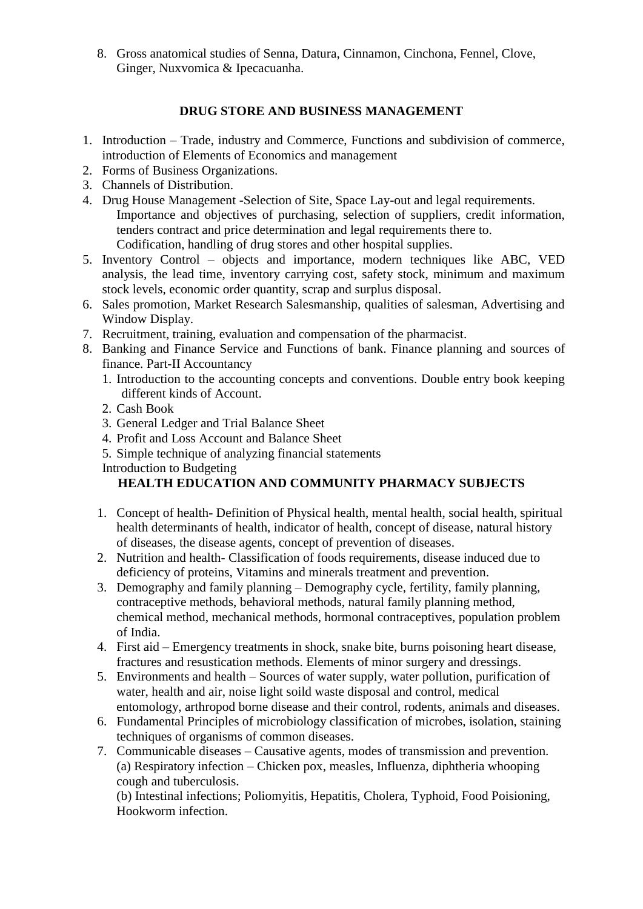8. Gross anatomical studies of Senna, Datura, Cinnamon, Cinchona, Fennel, Clove, Ginger, Nuxvomica & Ipecacuanha.

# **DRUG STORE AND BUSINESS MANAGEMENT**

- 1. Introduction Trade, industry and Commerce, Functions and subdivision of commerce, introduction of Elements of Economics and management
- 2. Forms of Business Organizations.
- 3. Channels of Distribution.
- 4. Drug House Management -Selection of Site, Space Lay-out and legal requirements. Importance and objectives of purchasing, selection of suppliers, credit information, tenders contract and price determination and legal requirements there to. Codification, handling of drug stores and other hospital supplies.
- 5. Inventory Control objects and importance, modern techniques like ABC, VED analysis, the lead time, inventory carrying cost, safety stock, minimum and maximum stock levels, economic order quantity, scrap and surplus disposal.
- 6. Sales promotion, Market Research Salesmanship, qualities of salesman, Advertising and Window Display.
- 7. Recruitment, training, evaluation and compensation of the pharmacist.
- 8. Banking and Finance Service and Functions of bank. Finance planning and sources of finance. Part-II Accountancy
	- 1. Introduction to the accounting concepts and conventions. Double entry book keeping different kinds of Account.
	- 2. Cash Book
	- 3. General Ledger and Trial Balance Sheet
	- 4. Profit and Loss Account and Balance Sheet
	- 5. Simple technique of analyzing financial statements
	- Introduction to Budgeting

# **HEALTH EDUCATION AND COMMUNITY PHARMACY SUBJECTS**

- 1. Concept of health- Definition of Physical health, mental health, social health, spiritual health determinants of health, indicator of health, concept of disease, natural history of diseases, the disease agents, concept of prevention of diseases.
- 2. Nutrition and health- Classification of foods requirements, disease induced due to deficiency of proteins, Vitamins and minerals treatment and prevention.
- 3. Demography and family planning Demography cycle, fertility, family planning, contraceptive methods, behavioral methods, natural family planning method, chemical method, mechanical methods, hormonal contraceptives, population problem of India.
- 4. First aid Emergency treatments in shock, snake bite, burns poisoning heart disease, fractures and resustication methods. Elements of minor surgery and dressings.
- 5. Environments and health Sources of water supply, water pollution, purification of water, health and air, noise light soild waste disposal and control, medical entomology, arthropod borne disease and their control, rodents, animals and diseases.
- 6. Fundamental Principles of microbiology classification of microbes, isolation, staining techniques of organisms of common diseases.
- 7. Communicable diseases Causative agents, modes of transmission and prevention. (a) Respiratory infection – Chicken pox, measles, Influenza, diphtheria whooping cough and tuberculosis.

(b) Intestinal infections; Poliomyitis, Hepatitis, Cholera, Typhoid, Food Poisioning, Hookworm infection.